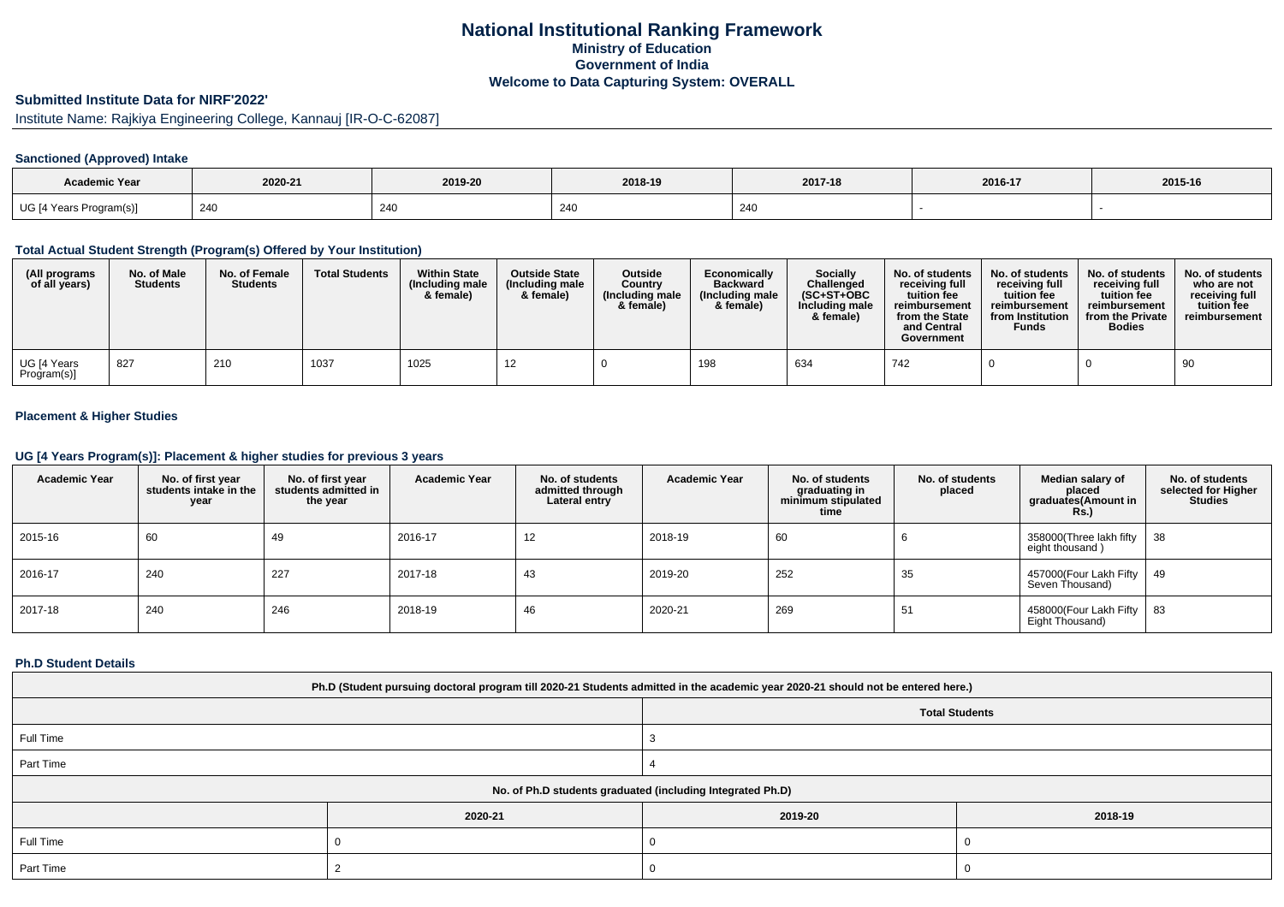## **National Institutional Ranking FrameworkMinistry of Education Government of IndiaWelcome to Data Capturing System: OVERALL**

# **Submitted Institute Data for NIRF'2022'**

Institute Name: Rajkiya Engineering College, Kannauj [IR-O-C-62087]

### **Sanctioned (Approved) Intake**

| <b>Academic Year</b>    | 2020-21 | 2019-20 | 2018-19      | 2017-18 | 2016-17 | 2015-16 |
|-------------------------|---------|---------|--------------|---------|---------|---------|
| UG [4 Years Program(s)] | 240     | 240     | 240<br>- 240 | 240     |         |         |

#### **Total Actual Student Strength (Program(s) Offered by Your Institution)**

| (All programs<br>of all years) | No. of Male<br><b>Students</b> | No. of Female<br><b>Students</b> | <b>Total Students</b> | <b>Within State</b><br>(Including male<br>& female) | <b>Outside State</b><br>(Including male<br>& female) | <b>Outside</b><br>Country<br>(Including male<br>& female) | Economically<br><b>Backward</b><br>(Including male<br>& female) | <b>Socially</b><br>Challenged<br>$(SC+ST+OBC$<br>Including male<br>& female) | No. of students<br>receiving full<br>tuition fee<br>reimbursement<br>from the State<br>and Central<br>Government | No. of students<br>receiving full<br>tuition fee<br>reimbursement<br>from Institution<br><b>Funds</b> | No. of students<br>receiving full<br>tuition fee<br>reimbursement<br>from the Private<br><b>Bodies</b> | No. of students<br>who are not<br>receiving full<br>tuition fee<br>reimbursement |
|--------------------------------|--------------------------------|----------------------------------|-----------------------|-----------------------------------------------------|------------------------------------------------------|-----------------------------------------------------------|-----------------------------------------------------------------|------------------------------------------------------------------------------|------------------------------------------------------------------------------------------------------------------|-------------------------------------------------------------------------------------------------------|--------------------------------------------------------------------------------------------------------|----------------------------------------------------------------------------------|
| UG [4 Years<br>Program(s)]     | 1827                           | 210                              | 1037                  | 1025                                                |                                                      |                                                           | 198                                                             | 634                                                                          | 742                                                                                                              |                                                                                                       |                                                                                                        | 90                                                                               |

### **Placement & Higher Studies**

### **UG [4 Years Program(s)]: Placement & higher studies for previous 3 years**

| <b>Academic Year</b> | No. of first year<br>students intake in the<br>year | No. of first year<br>students admitted in<br>the year | <b>Academic Year</b> | No. of students<br>admitted through<br>Lateral entry | <b>Academic Year</b> | No. of students<br>graduating in<br>minimum stipulated<br>time | No. of students<br>placed | Median salary of<br>placed<br>graduates(Amount in<br><b>Rs.)</b> | No. of students<br>selected for Higher<br><b>Studies</b> |
|----------------------|-----------------------------------------------------|-------------------------------------------------------|----------------------|------------------------------------------------------|----------------------|----------------------------------------------------------------|---------------------------|------------------------------------------------------------------|----------------------------------------------------------|
| 2015-16              | 60                                                  | 49                                                    | 2016-17              | 12                                                   | 2018-19              | 60                                                             |                           | 358000(Three lakh fifty<br>eight thousand)                       | - 38                                                     |
| 2016-17              | 240                                                 | 227                                                   | 2017-18              | 43                                                   | 2019-20              | 252                                                            | 35                        | 457000(Four Lakh Fifty   49<br>Seven Thousand)                   |                                                          |
| 2017-18              | 240                                                 | 246                                                   | 2018-19              | 46                                                   | 2020-21              | 269                                                            | 51                        | 458000(Four Lakh Fifty   83<br>Eight Thousand)                   |                                                          |

#### **Ph.D Student Details**

| Ph.D (Student pursuing doctoral program till 2020-21 Students admitted in the academic year 2020-21 should not be entered here.) |         |         |         |  |  |
|----------------------------------------------------------------------------------------------------------------------------------|---------|---------|---------|--|--|
| <b>Total Students</b>                                                                                                            |         |         |         |  |  |
| Full Time                                                                                                                        |         |         |         |  |  |
| Part Time                                                                                                                        |         |         |         |  |  |
| No. of Ph.D students graduated (including Integrated Ph.D)                                                                       |         |         |         |  |  |
|                                                                                                                                  | 2020-21 | 2019-20 | 2018-19 |  |  |
| Full Time                                                                                                                        |         |         |         |  |  |
| Part Time                                                                                                                        |         | J.      |         |  |  |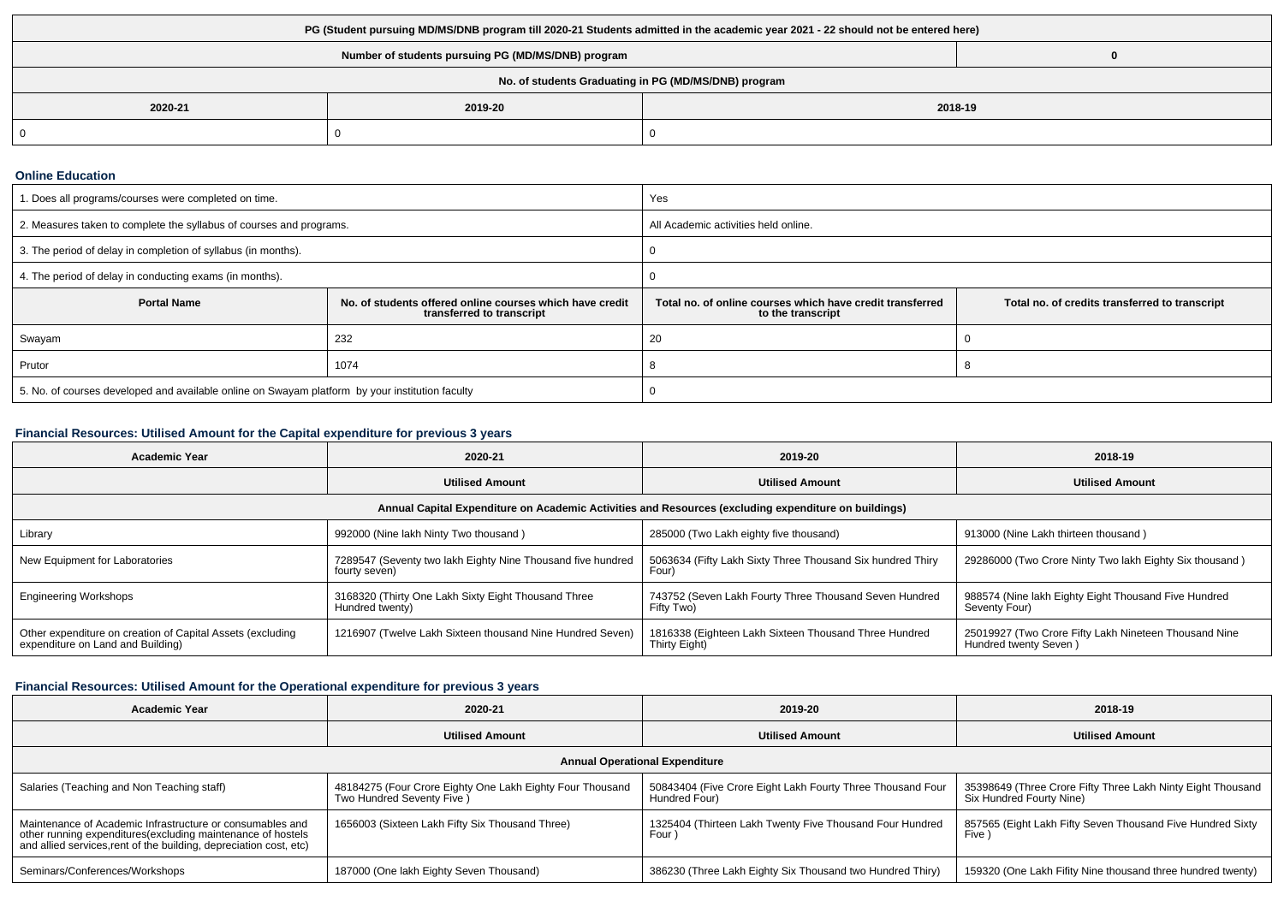| PG (Student pursuing MD/MS/DNB program till 2020-21 Students admitted in the academic year 2021 - 22 should not be entered here) |         |         |  |  |  |
|----------------------------------------------------------------------------------------------------------------------------------|---------|---------|--|--|--|
| Number of students pursuing PG (MD/MS/DNB) program                                                                               |         |         |  |  |  |
| No. of students Graduating in PG (MD/MS/DNB) program                                                                             |         |         |  |  |  |
| 2020-21                                                                                                                          | 2019-20 | 2018-19 |  |  |  |
|                                                                                                                                  |         |         |  |  |  |

#### **Online Education**

| 1. Does all programs/courses were completed on time.                                            |                                                                                       | Yes                                                                            |                                                |  |
|-------------------------------------------------------------------------------------------------|---------------------------------------------------------------------------------------|--------------------------------------------------------------------------------|------------------------------------------------|--|
| 2. Measures taken to complete the syllabus of courses and programs.                             |                                                                                       | All Academic activities held online.                                           |                                                |  |
| 3. The period of delay in completion of syllabus (in months).                                   |                                                                                       |                                                                                |                                                |  |
| 4. The period of delay in conducting exams (in months).                                         |                                                                                       |                                                                                |                                                |  |
| <b>Portal Name</b>                                                                              | No. of students offered online courses which have credit<br>transferred to transcript | Total no, of online courses which have credit transferred<br>to the transcript | Total no. of credits transferred to transcript |  |
| Swayam                                                                                          | 232                                                                                   | 20                                                                             |                                                |  |
| Prutor                                                                                          | 1074                                                                                  |                                                                                | o                                              |  |
| 5. No. of courses developed and available online on Swayam platform by your institution faculty |                                                                                       |                                                                                |                                                |  |

## **Financial Resources: Utilised Amount for the Capital expenditure for previous 3 years**

| <b>Academic Year</b>                                                                                 | 2020-21                                                                      | 2019-20                                                                | 2018-19                                                                        |  |  |  |
|------------------------------------------------------------------------------------------------------|------------------------------------------------------------------------------|------------------------------------------------------------------------|--------------------------------------------------------------------------------|--|--|--|
|                                                                                                      | <b>Utilised Amount</b>                                                       | <b>Utilised Amount</b>                                                 | <b>Utilised Amount</b>                                                         |  |  |  |
| Annual Capital Expenditure on Academic Activities and Resources (excluding expenditure on buildings) |                                                                              |                                                                        |                                                                                |  |  |  |
| Library                                                                                              | 992000 (Nine lakh Ninty Two thousand)                                        | 285000 (Two Lakh eighty five thousand)                                 | 913000 (Nine Lakh thirteen thousand)                                           |  |  |  |
| New Equipment for Laboratories                                                                       | 7289547 (Seventy two lakh Eighty Nine Thousand five hundred<br>fourty seven) | 5063634 (Fifty Lakh Sixty Three Thousand Six hundred Thiry<br>Four)    | 29286000 (Two Crore Ninty Two lakh Eighty Six thousand)                        |  |  |  |
| <b>Engineering Workshops</b>                                                                         | 3168320 (Thirty One Lakh Sixty Eight Thousand Three<br>Hundred twenty)       | 743752 (Seven Lakh Fourty Three Thousand Seven Hundred<br>Fifty Two)   | 988574 (Nine lakh Eighty Eight Thousand Five Hundred<br>Seventy Four)          |  |  |  |
| Other expenditure on creation of Capital Assets (excluding<br>expenditure on Land and Building)      | 1216907 (Twelve Lakh Sixteen thousand Nine Hundred Seven)                    | 1816338 (Eighteen Lakh Sixteen Thousand Three Hundred<br>Thirty Eight) | 25019927 (Two Crore Fifty Lakh Nineteen Thousand Nine<br>Hundred twenty Seven) |  |  |  |

## **Financial Resources: Utilised Amount for the Operational expenditure for previous 3 years**

| <b>Academic Year</b>                                                                                                                                                                            | 2020-21                                                                                 | 2019-20                                                                     | 2018-19                                                                                 |  |  |  |
|-------------------------------------------------------------------------------------------------------------------------------------------------------------------------------------------------|-----------------------------------------------------------------------------------------|-----------------------------------------------------------------------------|-----------------------------------------------------------------------------------------|--|--|--|
|                                                                                                                                                                                                 | <b>Utilised Amount</b>                                                                  | <b>Utilised Amount</b>                                                      | <b>Utilised Amount</b>                                                                  |  |  |  |
| <b>Annual Operational Expenditure</b>                                                                                                                                                           |                                                                                         |                                                                             |                                                                                         |  |  |  |
| Salaries (Teaching and Non Teaching staff)                                                                                                                                                      | 48184275 (Four Crore Eighty One Lakh Eighty Four Thousand<br>Two Hundred Seventy Five ) | 50843404 (Five Crore Eight Lakh Fourty Three Thousand Four<br>Hundred Four) | 35398649 (Three Crore Fifty Three Lakh Ninty Eight Thousand<br>Six Hundred Fourty Nine) |  |  |  |
| Maintenance of Academic Infrastructure or consumables and<br>other running expenditures (excluding maintenance of hostels<br>and allied services, rent of the building, depreciation cost, etc) | 1656003 (Sixteen Lakh Fifty Six Thousand Three)                                         | 1325404 (Thirteen Lakh Twenty Five Thousand Four Hundred<br>Four            | 857565 (Eight Lakh Fifty Seven Thousand Five Hundred Sixty<br>Five )                    |  |  |  |
| Seminars/Conferences/Workshops                                                                                                                                                                  | 187000 (One lakh Eighty Seven Thousand)                                                 | 386230 (Three Lakh Eighty Six Thousand two Hundred Thiry)                   | 159320 (One Lakh Fifity Nine thousand three hundred twenty)                             |  |  |  |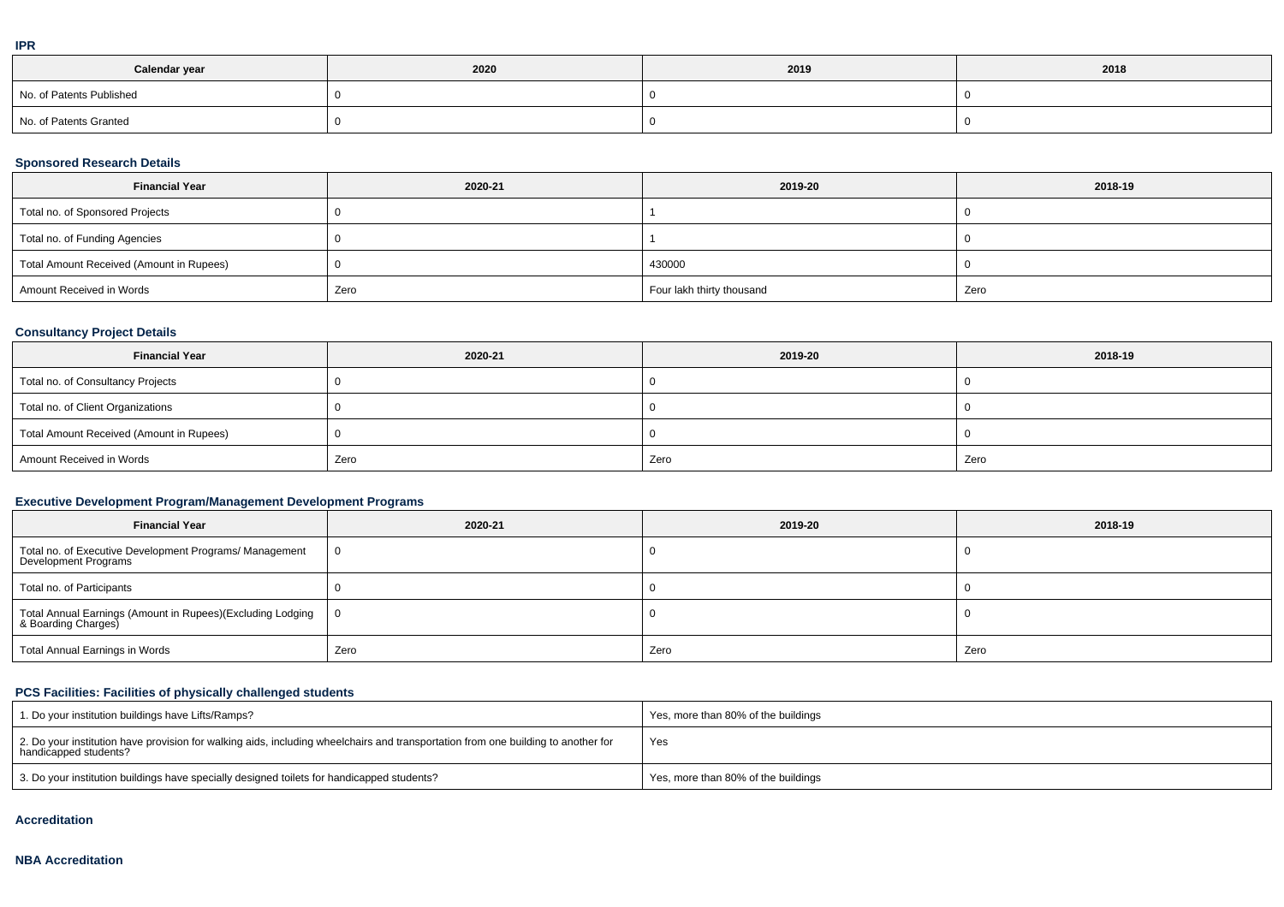|   | ۰ |
|---|---|
|   |   |
| I |   |
|   |   |

| Calendar year            | 2020 | 2019 | 2018 |
|--------------------------|------|------|------|
| No. of Patents Published |      |      |      |
| No. of Patents Granted   |      |      |      |

### **Sponsored Research Details**

| <b>Financial Year</b>                    | 2020-21 | 2019-20                   | 2018-19 |
|------------------------------------------|---------|---------------------------|---------|
| Total no. of Sponsored Projects          |         |                           |         |
| Total no. of Funding Agencies            |         |                           |         |
| Total Amount Received (Amount in Rupees) |         | 430000                    |         |
| Amount Received in Words                 | Zero    | Four lakh thirty thousand | Zero    |

### **Consultancy Project Details**

| <b>Financial Year</b>                    | 2020-21 | 2019-20 | 2018-19 |
|------------------------------------------|---------|---------|---------|
| Total no. of Consultancy Projects        |         |         |         |
| Total no. of Client Organizations        |         |         |         |
| Total Amount Received (Amount in Rupees) |         |         |         |
| Amount Received in Words                 | Zero    | Zero    | Zero    |

### **Executive Development Program/Management Development Programs**

| <b>Financial Year</b>                                                               | 2020-21 | 2019-20 | 2018-19 |
|-------------------------------------------------------------------------------------|---------|---------|---------|
| Total no. of Executive Development Programs/ Management<br>Development Programs     |         |         |         |
| Total no. of Participants                                                           |         |         |         |
| Total Annual Earnings (Amount in Rupees)(Excluding Lodging<br>  & Boarding Charges) | - 0     |         |         |
| Total Annual Earnings in Words                                                      | Zero    | Zero    | Zero    |

## **PCS Facilities: Facilities of physically challenged students**

| 1. Do your institution buildings have Lifts/Ramps?                                                                                                         | Yes, more than 80% of the buildings |
|------------------------------------------------------------------------------------------------------------------------------------------------------------|-------------------------------------|
| 2. Do your institution have provision for walking aids, including wheelchairs and transportation from one building to another for<br>handicapped students? | Yes                                 |
| 3. Do your institution buildings have specially designed toilets for handicapped students?                                                                 | Yes, more than 80% of the buildings |

#### **Accreditation**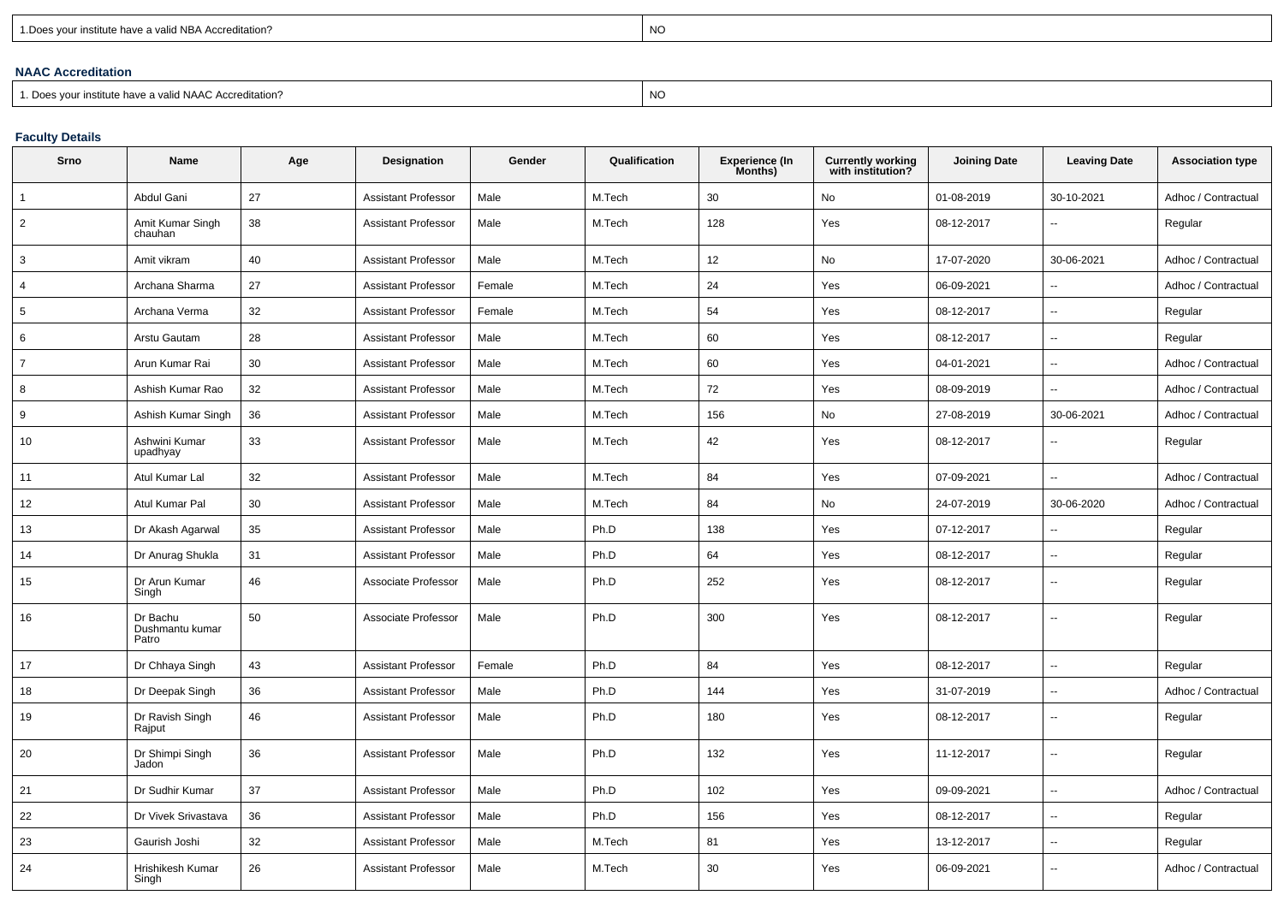| 1. Does your institute have a valid NBA Accreditation? |  |
|--------------------------------------------------------|--|
|                                                        |  |

expression of the contract of the contract of the contract of the contract of the contract of the contract of the contract of the contract of the contract of the contract of the contract of the contract of the contract of

### **NAAC Accreditation**

1. Does your institute have a valid NAAC Accreditation?

# expression of the contract of the contract of the contract of the contract of the contract of the contract of the contract of the contract of the contract of the contract of the contract of the contract of the contract of

## **Faculty Details**

| Srno           | Name                                 | Age | Designation                | Gender | Qualification | <b>Experience (In</b><br>Months) | Currently working<br>with institution? | <b>Joining Date</b> | <b>Leaving Date</b>      | <b>Association type</b> |
|----------------|--------------------------------------|-----|----------------------------|--------|---------------|----------------------------------|----------------------------------------|---------------------|--------------------------|-------------------------|
| 1              | Abdul Gani                           | 27  | <b>Assistant Professor</b> | Male   | M.Tech        | 30                               | No                                     | 01-08-2019          | 30-10-2021               | Adhoc / Contractual     |
| $\overline{2}$ | Amit Kumar Singh<br>chauhan          | 38  | <b>Assistant Professor</b> | Male   | M.Tech        | 128                              | Yes                                    | 08-12-2017          | $\overline{a}$           | Regular                 |
| 3              | Amit vikram                          | 40  | <b>Assistant Professor</b> | Male   | M.Tech        | 12                               | No                                     | 17-07-2020          | 30-06-2021               | Adhoc / Contractual     |
| $\overline{4}$ | Archana Sharma                       | 27  | <b>Assistant Professor</b> | Female | M.Tech        | 24                               | Yes                                    | 06-09-2021          |                          | Adhoc / Contractual     |
| 5              | Archana Verma                        | 32  | <b>Assistant Professor</b> | Female | M.Tech        | 54                               | Yes                                    | 08-12-2017          | $\overline{\phantom{a}}$ | Regular                 |
| 6              | Arstu Gautam                         | 28  | <b>Assistant Professor</b> | Male   | M.Tech        | 60                               | Yes                                    | 08-12-2017          | $\sim$                   | Regular                 |
| $\overline{7}$ | Arun Kumar Rai                       | 30  | <b>Assistant Professor</b> | Male   | M.Tech        | 60                               | Yes                                    | 04-01-2021          | $\sim$                   | Adhoc / Contractual     |
| 8              | Ashish Kumar Rao                     | 32  | <b>Assistant Professor</b> | Male   | M.Tech        | 72                               | Yes                                    | 08-09-2019          | $\sim$                   | Adhoc / Contractual     |
| 9              | Ashish Kumar Singh                   | 36  | <b>Assistant Professor</b> | Male   | M.Tech        | 156                              | No                                     | 27-08-2019          | 30-06-2021               | Adhoc / Contractual     |
| 10             | Ashwini Kumar<br>upadhyay            | 33  | <b>Assistant Professor</b> | Male   | M.Tech        | 42                               | Yes                                    | 08-12-2017          | $\overline{\phantom{a}}$ | Regular                 |
| 11             | Atul Kumar Lal                       | 32  | Assistant Professor        | Male   | M.Tech        | 84                               | Yes                                    | 07-09-2021          |                          | Adhoc / Contractual     |
| 12             | Atul Kumar Pal                       | 30  | <b>Assistant Professor</b> | Male   | M.Tech        | 84                               | No                                     | 24-07-2019          | 30-06-2020               | Adhoc / Contractual     |
| 13             | Dr Akash Agarwal                     | 35  | <b>Assistant Professor</b> | Male   | Ph.D          | 138                              | Yes                                    | 07-12-2017          | $\overline{\phantom{a}}$ | Regular                 |
| 14             | Dr Anurag Shukla                     | 31  | <b>Assistant Professor</b> | Male   | Ph.D          | 64                               | Yes                                    | 08-12-2017          | $\mathbf{u}$             | Regular                 |
| 15             | Dr Arun Kumar<br>Singh               | 46  | Associate Professor        | Male   | Ph.D          | 252                              | Yes                                    | 08-12-2017          | $\sim$                   | Regular                 |
| 16             | Dr Bachu<br>Dushmantu kumar<br>Patro | 50  | Associate Professor        | Male   | Ph.D          | 300                              | Yes                                    | 08-12-2017          | $\sim$                   | Regular                 |
| 17             | Dr Chhaya Singh                      | 43  | <b>Assistant Professor</b> | Female | Ph.D          | 84                               | Yes                                    | 08-12-2017          | $\sim$                   | Regular                 |
| 18             | Dr Deepak Singh                      | 36  | Assistant Professor        | Male   | Ph.D          | 144                              | Yes                                    | 31-07-2019          | $\ddot{\phantom{a}}$     | Adhoc / Contractual     |
| 19             | Dr Ravish Singh<br>Rajput            | 46  | <b>Assistant Professor</b> | Male   | Ph.D          | 180                              | Yes                                    | 08-12-2017          | $\sim$                   | Regular                 |
| 20             | Dr Shimpi Singh<br>Jadon             | 36  | <b>Assistant Professor</b> | Male   | Ph.D          | 132                              | Yes                                    | 11-12-2017          | $\overline{\phantom{a}}$ | Regular                 |
| 21             | Dr Sudhir Kumar                      | 37  | Assistant Professor        | Male   | Ph.D          | 102                              | Yes                                    | 09-09-2021          | $\sim$                   | Adhoc / Contractual     |
| 22             | Dr Vivek Srivastava                  | 36  | <b>Assistant Professor</b> | Male   | Ph.D          | 156                              | Yes                                    | 08-12-2017          | $\sim$                   | Regular                 |
| 23             | Gaurish Joshi                        | 32  | <b>Assistant Professor</b> | Male   | M.Tech        | 81                               | Yes                                    | 13-12-2017          | $\sim$                   | Regular                 |
| 24             | Hrishikesh Kumar<br>Singh            | 26  | <b>Assistant Professor</b> | Male   | M.Tech        | 30                               | Yes                                    | 06-09-2021          | $\sim$                   | Adhoc / Contractual     |